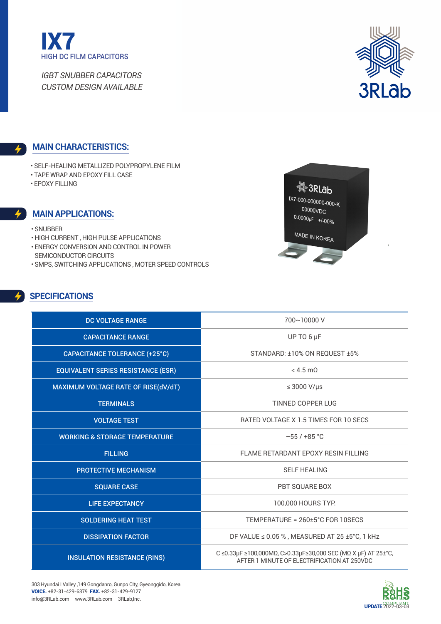



### **Main characteristics:**

- Self-Healing Metallized Polypropylene Film
- Tape wrap and Epoxy fill Case
- Epoxy filling

#### **Main applications:**

- Snubber
- High current , High pulse applications
- Energy conversion and control in power
- semiconductor circuits
- SMPS, Switching applications , Moter speed controls

# **SPECIFICATIONS**



| <b>DC VOLTAGE RANGE</b>                   | 700~10000 V                                                                                                  |
|-------------------------------------------|--------------------------------------------------------------------------------------------------------------|
| <b>CAPACITANCE RANGE</b>                  | UP TO 6 µF                                                                                                   |
| <b>CAPACITANCE TOLERANCE (+25°C)</b>      | STANDARD: ±10% ON REQUEST ±5%                                                                                |
| <b>EQUIVALENT SERIES RESISTANCE (ESR)</b> | $<$ 4.5 m $\Omega$                                                                                           |
| MAXIMUM VOLTAGE RATE OF RISE(dV/dT)       | $\leq$ 3000 V/µs                                                                                             |
| <b>TERMINALS</b>                          | <b>TINNED COPPER LUG</b>                                                                                     |
| <b>VOLTAGE TEST</b>                       | <b>RATED VOLTAGE X 1.5 TIMES FOR 10 SECS</b>                                                                 |
| <b>WORKING &amp; STORAGE TEMPERATURE</b>  | $-55/+85$ °C                                                                                                 |
| <b>FILLING</b>                            | FLAME RETARDANT EPOXY RESIN FILLING                                                                          |
| <b>PROTECTIVE MECHANISM</b>               | <b>SELF HEALING</b>                                                                                          |
| <b>SQUARE CASE</b>                        | <b>PBT SQUARE BOX</b>                                                                                        |
| <b>LIFE EXPECTANCY</b>                    | 100,000 HOURS TYP.                                                                                           |
| <b>SOLDERING HEAT TEST</b>                | TEMPERATURE = 260±5°C FOR 10SECS                                                                             |
| <b>DISSIPATION FACTOR</b>                 | DF VALUE $\leq$ 0.05 %, MEASURED AT 25 ±5°C, 1 kHz                                                           |
| <b>INSULATION RESISTANCE (RINS)</b>       | C ≤0.33μF ≥100,000ΜΩ, C>0.33μF≥30,000 SEC (ΜΩ Χ μF) AT 25±°C,<br>AFTER 1 MINUTE OF ELECTRIFICATION AT 250VDC |

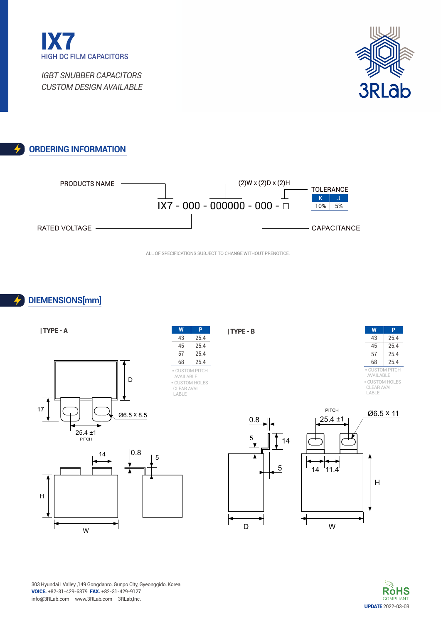



### **Ordering Information**



All of specifications Subject to change without prenotice.

# **DIEMENSIONs[mm]**





303 Hyundai I Valley ,149 Gongdanro, Gunpo City, Gyeonggido, Korea voice. +82-31-429-6379 fax. +82-31-429-9127 info@3RLab.com www.3RLab.com 3RLab,Inc.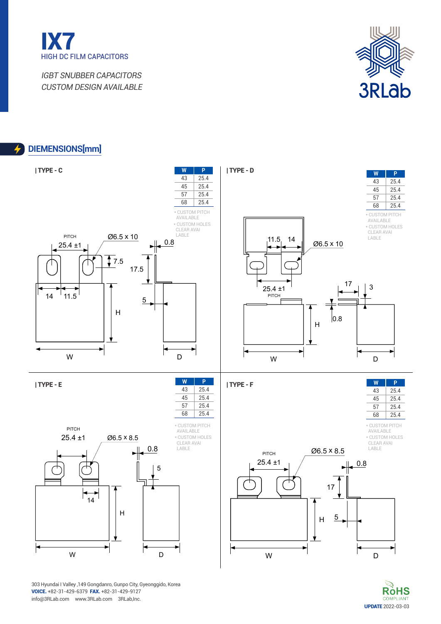



### **DIEMENSIONs[mm]**



**RòHS** UPDATE 2022-03-03

303 Hyundai I Valley ,149 Gongdanro, Gunpo City, Gyeonggido, Korea voice. +82-31-429-6379 fax. +82-31-429-9127 info@3RLab.com www.3RLab.com 3RLab,Inc.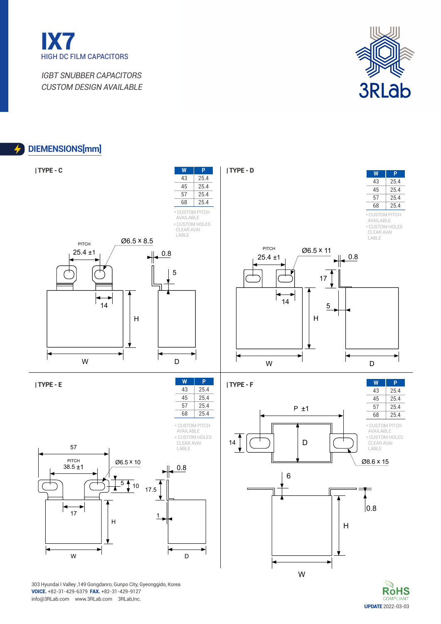



UPDATE 2022-03-03

**RòHS** 

## **DIEMENSIONs[mm]**



voice. +82-31-429-6379 fax. +82-31-429-9127 info@3RLab.com www.3RLab.com 3RLab,Inc.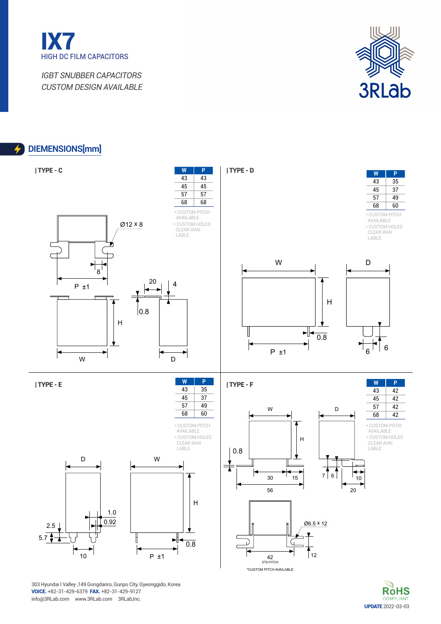



UPDATE 2022-03-03

**R**<sub>o</sub>HS

## **DIEMENSIONs[mm]**

4



303 Hyundai I Valley ,149 Gongdanro, Gunpo City, Gyeonggido, Korea voice. +82-31-429-6379 fax. +82-31-429-9127 info@3RLab.com www.3RLab.com 3RLab,Inc.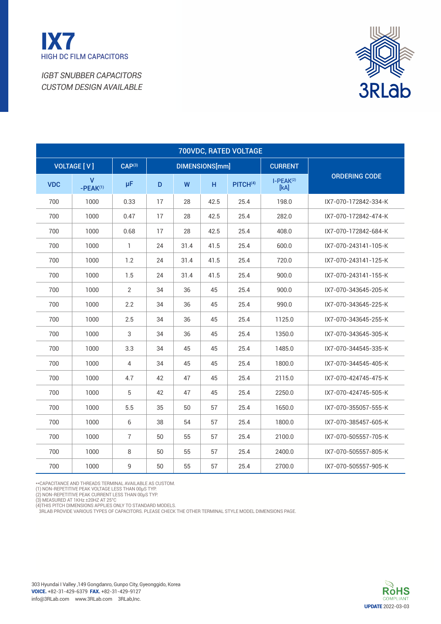



|            | 700VDC, RATED VOLTAGE |                    |    |      |                |                      |                     |                      |  |  |  |  |  |
|------------|-----------------------|--------------------|----|------|----------------|----------------------|---------------------|----------------------|--|--|--|--|--|
|            | <b>VOLTAGE [V]</b>    | CAP <sup>(3)</sup> |    |      | DIMENSIONS[mm] |                      | <b>CURRENT</b>      |                      |  |  |  |  |  |
| <b>VDC</b> | v<br>$-PEAK^{(1)}$    | $\mu$ F            | D  | W    | H              | PITCH <sup>(4)</sup> | $I-PEAK(2)$<br>[kA] | <b>ORDERING CODE</b> |  |  |  |  |  |
| 700        | 1000                  | 0.33               | 17 | 28   | 42.5           | 25.4                 | 198.0               | IX7-070-172842-334-K |  |  |  |  |  |
| 700        | 1000                  | 0.47               | 17 | 28   | 42.5           | 25.4                 | 282.0               | IX7-070-172842-474-K |  |  |  |  |  |
| 700        | 1000                  | 0.68               | 17 | 28   | 42.5           | 25.4                 | 408.0               | IX7-070-172842-684-K |  |  |  |  |  |
| 700        | 1000                  | $\mathbf{1}$       | 24 | 31.4 | 41.5           | 25.4                 | 600.0               | IX7-070-243141-105-K |  |  |  |  |  |
| 700        | 1000                  | 1.2                | 24 | 31.4 | 41.5           | 25.4                 | 720.0               | IX7-070-243141-125-K |  |  |  |  |  |
| 700        | 1000                  | 1.5                | 24 | 31.4 | 41.5           | 25.4                 | 900.0               | IX7-070-243141-155-K |  |  |  |  |  |
| 700        | 1000                  | 2                  | 34 | 36   | 45             | 25.4                 | 900.0               | IX7-070-343645-205-K |  |  |  |  |  |
| 700        | 1000                  | 2.2                | 34 | 36   | 45             | 25.4                 | 990.0               | IX7-070-343645-225-K |  |  |  |  |  |
| 700        | 1000                  | 2.5                | 34 | 36   | 45             | 25.4                 | 1125.0              | IX7-070-343645-255-K |  |  |  |  |  |
| 700        | 1000                  | 3                  | 34 | 36   | 45             | 25.4                 | 1350.0              | IX7-070-343645-305-K |  |  |  |  |  |
| 700        | 1000                  | 3.3                | 34 | 45   | 45             | 25.4                 | 1485.0              | IX7-070-344545-335-K |  |  |  |  |  |
| 700        | 1000                  | 4                  | 34 | 45   | 45             | 25.4                 | 1800.0              | IX7-070-344545-405-K |  |  |  |  |  |
| 700        | 1000                  | 4.7                | 42 | 47   | 45             | 25.4                 | 2115.0              | IX7-070-424745-475-K |  |  |  |  |  |
| 700        | 1000                  | 5                  | 42 | 47   | 45             | 25.4                 | 2250.0              | IX7-070-424745-505-K |  |  |  |  |  |
| 700        | 1000                  | 5.5                | 35 | 50   | 57             | 25.4                 | 1650.0              | IX7-070-355057-555-K |  |  |  |  |  |
| 700        | 1000                  | 6                  | 38 | 54   | 57             | 25.4                 | 1800.0              | IX7-070-385457-605-K |  |  |  |  |  |
| 700        | 1000                  | $\overline{7}$     | 50 | 55   | 57             | 25.4                 | 2100.0              | IX7-070-505557-705-K |  |  |  |  |  |
| 700        | 1000                  | 8                  | 50 | 55   | 57             | 25.4                 | 2400.0              | IX7-070-505557-805-K |  |  |  |  |  |
| 700        | 1000                  | 9                  | 50 | 55   | 57             | 25.4                 | 2700.0              | IX7-070-505557-905-K |  |  |  |  |  |

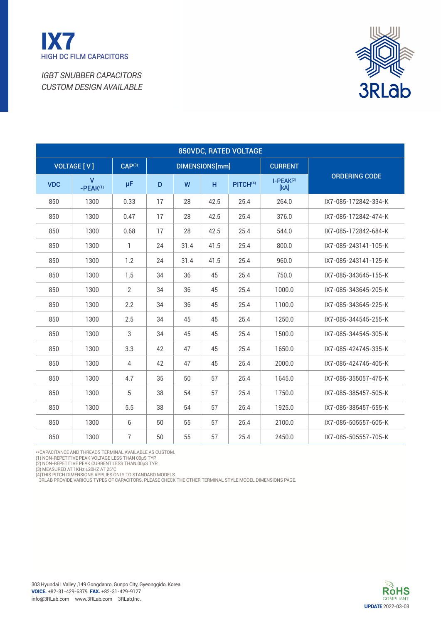



| 850VDC, RATED VOLTAGE |                               |                    |    |      |                |                      |                     |                      |  |  |  |  |
|-----------------------|-------------------------------|--------------------|----|------|----------------|----------------------|---------------------|----------------------|--|--|--|--|
|                       | <b>VOLTAGE [V]</b>            | CAP <sup>(3)</sup> |    |      | DIMENSIONS[mm] |                      | <b>CURRENT</b>      |                      |  |  |  |  |
| <b>VDC</b>            | $\mathsf{V}$<br>$-PEAK^{(1)}$ | μF                 | D  | W    | H.             | PITCH <sup>(4)</sup> | $I-PEAK(2)$<br>[kA] | <b>ORDERING CODE</b> |  |  |  |  |
| 850                   | 1300                          | 0.33               | 17 | 28   | 42.5           | 25.4                 | 264.0               | IX7-085-172842-334-K |  |  |  |  |
| 850                   | 1300                          | 0.47               | 17 | 28   | 42.5           | 25.4                 | 376.0               | IX7-085-172842-474-K |  |  |  |  |
| 850                   | 1300                          | 0.68               | 17 | 28   | 42.5           | 25.4                 | 544.0               | IX7-085-172842-684-K |  |  |  |  |
| 850                   | 1300                          | $\mathbf{1}$       | 24 | 31.4 | 41.5           | 25.4                 | 800.0               | IX7-085-243141-105-K |  |  |  |  |
| 850                   | 1300                          | 1.2                | 24 | 31.4 | 41.5           | 25.4                 | 960.0               | IX7-085-243141-125-K |  |  |  |  |
| 850                   | 1300                          | 1.5                | 34 | 36   | 45             | 25.4                 | 750.0               | IX7-085-343645-155-K |  |  |  |  |
| 850                   | 1300                          | $\overline{2}$     | 34 | 36   | 45             | 25.4                 | 1000.0              | IX7-085-343645-205-K |  |  |  |  |
| 850                   | 1300                          | 2.2                | 34 | 36   | 45             | 25.4                 | 1100.0              | IX7-085-343645-225-K |  |  |  |  |
| 850                   | 1300                          | 2.5                | 34 | 45   | 45             | 25.4                 | 1250.0              | IX7-085-344545-255-K |  |  |  |  |
| 850                   | 1300                          | 3                  | 34 | 45   | 45             | 25.4                 | 1500.0              | IX7-085-344545-305-K |  |  |  |  |
| 850                   | 1300                          | 3.3                | 42 | 47   | 45             | 25.4                 | 1650.0              | IX7-085-424745-335-K |  |  |  |  |
| 850                   | 1300                          | $\overline{4}$     | 42 | 47   | 45             | 25.4                 | 2000.0              | IX7-085-424745-405-K |  |  |  |  |
| 850                   | 1300                          | 4.7                | 35 | 50   | 57             | 25.4                 | 1645.0              | IX7-085-355057-475-K |  |  |  |  |
| 850                   | 1300                          | 5                  | 38 | 54   | 57             | 25.4                 | 1750.0              | IX7-085-385457-505-K |  |  |  |  |
| 850                   | 1300                          | 5.5                | 38 | 54   | 57             | 25.4                 | 1925.0              | IX7-085-385457-555-K |  |  |  |  |
| 850                   | 1300                          | 6                  | 50 | 55   | 57             | 25.4                 | 2100.0              | IX7-085-505557-605-K |  |  |  |  |
| 850                   | 1300                          | $\overline{7}$     | 50 | 55   | 57             | 25.4                 | 2450.0              | IX7-085-505557-705-K |  |  |  |  |

\*\*Capacitance and threads terminal available as custom. (1) Non-repetitive peak Voltage less than 00µS Typ. (2) Non-repetitive peak Current less than 00µS Typ.

(3) MEASURED AT 1KHz ±20HZ AT 25°C<br>(4)THIS PITCH DIMENSIONS APPLIES ONLY TO STANDARD MODELS.<br> 3RLAB PROVIDE VARIOUS TYPES OF CAPACITORS. PLEASE CHECK THE OTHER TERMINAL STYLE MODEL DIMENSIONS PAGE.

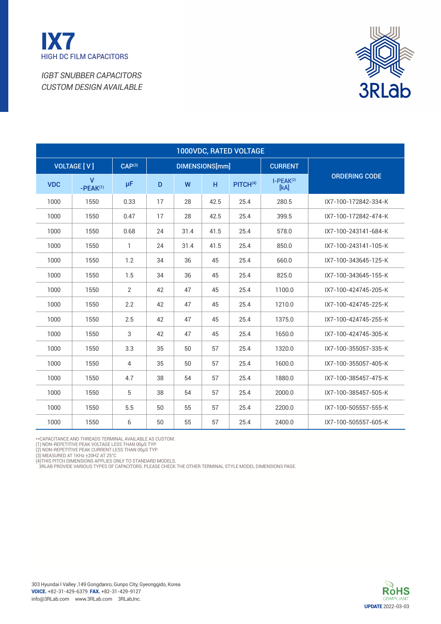



|            | 1000VDC, RATED VOLTAGE        |                    |    |      |                       |                      |                     |                      |  |  |  |  |  |
|------------|-------------------------------|--------------------|----|------|-----------------------|----------------------|---------------------|----------------------|--|--|--|--|--|
|            | <b>VOLTAGE [V]</b>            | CAP <sup>(3)</sup> |    |      | <b>DIMENSIONS[mm]</b> |                      | <b>CURRENT</b>      |                      |  |  |  |  |  |
| <b>VDC</b> | $\mathsf{V}$<br>$-PEAK^{(1)}$ | μF                 | D  | W    | H                     | PITCH <sup>(4)</sup> | $I-PEAK(2)$<br>[kA] | <b>ORDERING CODE</b> |  |  |  |  |  |
| 1000       | 1550                          | 0.33               | 17 | 28   | 42.5                  | 25.4                 | 280.5               | IX7-100-172842-334-K |  |  |  |  |  |
| 1000       | 1550                          | 0.47               | 17 | 28   | 42.5                  | 25.4                 | 399.5               | IX7-100-172842-474-K |  |  |  |  |  |
| 1000       | 1550                          | 0.68               | 24 | 31.4 | 41.5                  | 25.4                 | 578.0               | IX7-100-243141-684-K |  |  |  |  |  |
| 1000       | 1550                          | 1                  | 24 | 31.4 | 41.5                  | 25.4                 | 850.0               | IX7-100-243141-105-K |  |  |  |  |  |
| 1000       | 1550                          | 1.2                | 34 | 36   | 45                    | 25.4                 | 660.0               | IX7-100-343645-125-K |  |  |  |  |  |
| 1000       | 1550                          | 1.5                | 34 | 36   | 45                    | 25.4                 | 825.0               | IX7-100-343645-155-K |  |  |  |  |  |
| 1000       | 1550                          | 2                  | 42 | 47   | 45                    | 25.4                 | 1100.0              | IX7-100-424745-205-K |  |  |  |  |  |
| 1000       | 1550                          | 2.2                | 42 | 47   | 45                    | 25.4                 | 1210.0              | IX7-100-424745-225-K |  |  |  |  |  |
| 1000       | 1550                          | 2.5                | 42 | 47   | 45                    | 25.4                 | 1375.0              | IX7-100-424745-255-K |  |  |  |  |  |
| 1000       | 1550                          | 3                  | 42 | 47   | 45                    | 25.4                 | 1650.0              | IX7-100-424745-305-K |  |  |  |  |  |
| 1000       | 1550                          | 3.3                | 35 | 50   | 57                    | 25.4                 | 1320.0              | IX7-100-355057-335-K |  |  |  |  |  |
| 1000       | 1550                          | $\overline{4}$     | 35 | 50   | 57                    | 25.4                 | 1600.0              | IX7-100-355057-405-K |  |  |  |  |  |
| 1000       | 1550                          | 4.7                | 38 | 54   | 57                    | 25.4                 | 1880.0              | IX7-100-385457-475-K |  |  |  |  |  |
| 1000       | 1550                          | 5                  | 38 | 54   | 57                    | 25.4                 | 2000.0              | IX7-100-385457-505-K |  |  |  |  |  |
| 1000       | 1550                          | 5.5                | 50 | 55   | 57                    | 25.4                 | 2200.0              | IX7-100-505557-555-K |  |  |  |  |  |
| 1000       | 1550                          | 6                  | 50 | 55   | 57                    | 25.4                 | 2400.0              | IX7-100-505557-605-K |  |  |  |  |  |

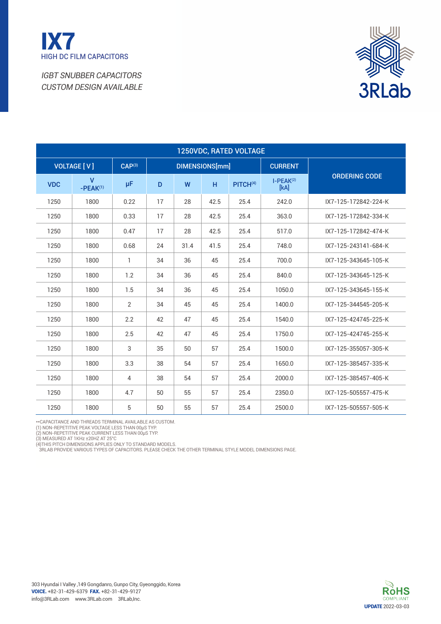



| 1250VDC, RATED VOLTAGE |                            |                    |    |      |                |                      |                     |                      |  |  |  |  |
|------------------------|----------------------------|--------------------|----|------|----------------|----------------------|---------------------|----------------------|--|--|--|--|
|                        | <b>VOLTAGE [V]</b>         | CAP <sup>(3)</sup> |    |      | DIMENSIONS[mm] |                      | <b>CURRENT</b>      |                      |  |  |  |  |
| <b>VDC</b>             | $\mathbf{V}$<br>$-PEAK(1)$ | μF                 | D  | W    | H              | PITCH <sup>(4)</sup> | $I-PEAK(2)$<br>[kA] | <b>ORDERING CODE</b> |  |  |  |  |
| 1250                   | 1800                       | 0.22               | 17 | 28   | 42.5           | 25.4                 | 242.0               | IX7-125-172842-224-K |  |  |  |  |
| 1250                   | 1800                       | 0.33               | 17 | 28   | 42.5           | 25.4                 | 363.0               | IX7-125-172842-334-K |  |  |  |  |
| 1250                   | 1800                       | 0.47               | 17 | 28   | 42.5           | 25.4                 | 517.0               | IX7-125-172842-474-K |  |  |  |  |
| 1250                   | 1800                       | 0.68               | 24 | 31.4 | 41.5           | 25.4                 | 748.0               | IX7-125-243141-684-K |  |  |  |  |
| 1250                   | 1800                       | 1                  | 34 | 36   | 45             | 25.4                 | 700.0               | IX7-125-343645-105-K |  |  |  |  |
| 1250                   | 1800                       | 1.2                | 34 | 36   | 45             | 25.4                 | 840.0               | IX7-125-343645-125-K |  |  |  |  |
| 1250                   | 1800                       | 1.5                | 34 | 36   | 45             | 25.4                 | 1050.0              | IX7-125-343645-155-K |  |  |  |  |
| 1250                   | 1800                       | $\overline{2}$     | 34 | 45   | 45             | 25.4                 | 1400.0              | IX7-125-344545-205-K |  |  |  |  |
| 1250                   | 1800                       | 2.2                | 42 | 47   | 45             | 25.4                 | 1540.0              | IX7-125-424745-225-K |  |  |  |  |
| 1250                   | 1800                       | 2.5                | 42 | 47   | 45             | 25.4                 | 1750.0              | IX7-125-424745-255-K |  |  |  |  |
| 1250                   | 1800                       | 3                  | 35 | 50   | 57             | 25.4                 | 1500.0              | IX7-125-355057-305-K |  |  |  |  |
| 1250                   | 1800                       | 3.3                | 38 | 54   | 57             | 25.4                 | 1650.0              | IX7-125-385457-335-K |  |  |  |  |
| 1250                   | 1800                       | 4                  | 38 | 54   | 57             | 25.4                 | 2000.0              | IX7-125-385457-405-K |  |  |  |  |
| 1250                   | 1800                       | 4.7                | 50 | 55   | 57             | 25.4                 | 2350.0              | IX7-125-505557-475-K |  |  |  |  |
| 1250                   | 1800                       | 5                  | 50 | 55   | 57             | 25.4                 | 2500.0              | IX7-125-505557-505-K |  |  |  |  |

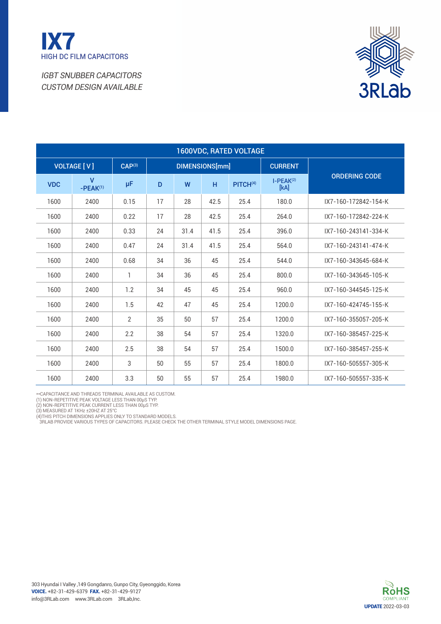



| <b>1600VDC, RATED VOLTAGE</b> |                              |                |    |      |                |                      |                     |                      |  |  |  |  |
|-------------------------------|------------------------------|----------------|----|------|----------------|----------------------|---------------------|----------------------|--|--|--|--|
|                               | <b>VOLTAGE [V]</b>           | $CAP^{(3)}$    |    |      | DIMENSIONS[mm] |                      | <b>CURRENT</b>      |                      |  |  |  |  |
| <b>VDC</b>                    | $\overline{V}$<br>$-PEAK(1)$ | μF             | D  | W    | H              | PITCH <sup>(4)</sup> | $I-PEAK(2)$<br>[kA] | <b>ORDERING CODE</b> |  |  |  |  |
| 1600                          | 2400                         | 0.15           | 17 | 28   | 42.5           | 25.4                 | 180.0               | IX7-160-172842-154-K |  |  |  |  |
| 1600                          | 2400                         | 0.22           | 17 | 28   | 42.5           | 25.4                 | 264.0               | IX7-160-172842-224-K |  |  |  |  |
| 1600                          | 2400                         | 0.33           | 24 | 31.4 | 41.5           | 25.4                 | 396.0               | IX7-160-243141-334-K |  |  |  |  |
| 1600                          | 2400                         | 0.47           | 24 | 31.4 | 41.5           | 25.4                 | 564.0               | IX7-160-243141-474-K |  |  |  |  |
| 1600                          | 2400                         | 0.68           | 34 | 36   | 45             | 25.4                 | 544.0               | IX7-160-343645-684-K |  |  |  |  |
| 1600                          | 2400                         | $\mathbf{1}$   | 34 | 36   | 45             | 25.4                 | 800.0               | IX7-160-343645-105-K |  |  |  |  |
| 1600                          | 2400                         | 1.2            | 34 | 45   | 45             | 25.4                 | 960.0               | IX7-160-344545-125-K |  |  |  |  |
| 1600                          | 2400                         | 1.5            | 42 | 47   | 45             | 25.4                 | 1200.0              | IX7-160-424745-155-K |  |  |  |  |
| 1600                          | 2400                         | $\overline{2}$ | 35 | 50   | 57             | 25.4                 | 1200.0              | IX7-160-355057-205-K |  |  |  |  |
| 1600                          | 2400                         | 2.2            | 38 | 54   | 57             | 25.4                 | 1320.0              | IX7-160-385457-225-K |  |  |  |  |
| 1600                          | 2400                         | 2.5            | 38 | 54   | 57             | 25.4                 | 1500.0              | IX7-160-385457-255-K |  |  |  |  |
| 1600                          | 2400                         | 3              | 50 | 55   | 57             | 25.4                 | 1800.0              | IX7-160-505557-305-K |  |  |  |  |
| 1600                          | 2400                         | 3.3            | 50 | 55   | 57             | 25.4                 | 1980.0              | IX7-160-505557-335-K |  |  |  |  |

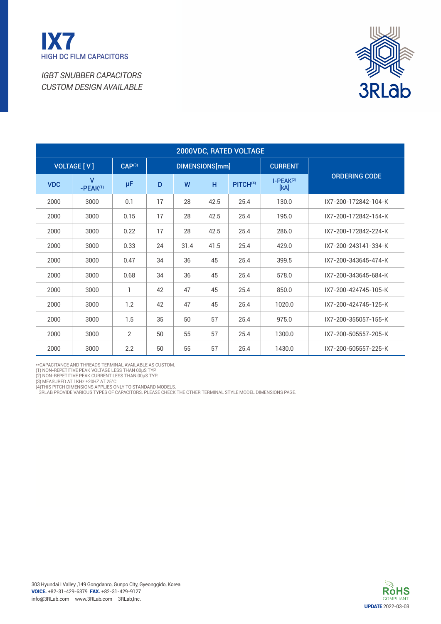



| 2000VDC, RATED VOLTAGE |                            |                    |    |      |                |                      |                     |                      |  |  |  |  |
|------------------------|----------------------------|--------------------|----|------|----------------|----------------------|---------------------|----------------------|--|--|--|--|
|                        | <b>VOLTAGE [V]</b>         | CAP <sup>(3)</sup> |    |      | DIMENSIONS[mm] |                      | <b>CURRENT</b>      |                      |  |  |  |  |
| <b>VDC</b>             | $\mathsf{V}$<br>$-PEAK(1)$ | μF                 | D  | W    | H              | PITCH <sup>(4)</sup> | $I-PEAK(2)$<br>[kA] | <b>ORDERING CODE</b> |  |  |  |  |
| 2000                   | 3000                       | 0.1                | 17 | 28   | 42.5           | 25.4                 | 130.0               | IX7-200-172842-104-K |  |  |  |  |
| 2000                   | 3000                       | 0.15               | 17 | 28   | 42.5           | 25.4                 | 195.0               | IX7-200-172842-154-K |  |  |  |  |
| 2000                   | 3000                       | 0.22               | 17 | 28   | 42.5           | 25.4                 | 286.0               | IX7-200-172842-224-K |  |  |  |  |
| 2000                   | 3000                       | 0.33               | 24 | 31.4 | 41.5           | 25.4                 | 429.0               | IX7-200-243141-334-K |  |  |  |  |
| 2000                   | 3000                       | 0.47               | 34 | 36   | 45             | 25.4                 | 399.5               | IX7-200-343645-474-K |  |  |  |  |
| 2000                   | 3000                       | 0.68               | 34 | 36   | 45             | 25.4                 | 578.0               | IX7-200-343645-684-K |  |  |  |  |
| 2000                   | 3000                       | 1                  | 42 | 47   | 45             | 25.4                 | 850.0               | IX7-200-424745-105-K |  |  |  |  |
| 2000                   | 3000                       | 1.2                | 42 | 47   | 45             | 25.4                 | 1020.0              | IX7-200-424745-125-K |  |  |  |  |
| 2000                   | 3000                       | 1.5                | 35 | 50   | 57             | 25.4                 | 975.0               | IX7-200-355057-155-K |  |  |  |  |
| 2000                   | 3000                       | 2                  | 50 | 55   | 57             | 25.4                 | 1300.0              | IX7-200-505557-205-K |  |  |  |  |
| 2000                   | 3000                       | 2.2                | 50 | 55   | 57             | 25.4                 | 1430.0              | IX7-200-505557-225-K |  |  |  |  |

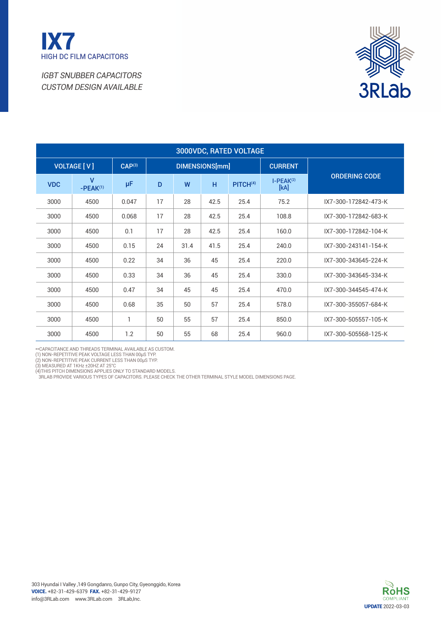



| 3000VDC, RATED VOLTAGE |                            |                    |    |      |                |                      |                     |                      |  |  |  |  |
|------------------------|----------------------------|--------------------|----|------|----------------|----------------------|---------------------|----------------------|--|--|--|--|
|                        | <b>VOLTAGE [V]</b>         | CAP <sup>(3)</sup> |    |      | DIMENSIONS[mm] |                      | <b>CURRENT</b>      |                      |  |  |  |  |
| <b>VDC</b>             | $\mathsf{V}$<br>$-PEAK(1)$ | μF                 | D  | W    | H              | PITCH <sup>(4)</sup> | $I-PEAK(2)$<br>[kA] | <b>ORDERING CODE</b> |  |  |  |  |
| 3000                   | 4500                       | 0.047              | 17 | 28   | 42.5           | 25.4                 | 75.2                | IX7-300-172842-473-K |  |  |  |  |
| 3000                   | 4500                       | 0.068              | 17 | 28   | 42.5           | 25.4                 | 108.8               | IX7-300-172842-683-K |  |  |  |  |
| 3000                   | 4500                       | 0.1                | 17 | 28   | 42.5           | 25.4                 | 160.0               | IX7-300-172842-104-K |  |  |  |  |
| 3000                   | 4500                       | 0.15               | 24 | 31.4 | 41.5           | 25.4                 | 240.0               | IX7-300-243141-154-K |  |  |  |  |
| 3000                   | 4500                       | 0.22               | 34 | 36   | 45             | 25.4                 | 220.0               | IX7-300-343645-224-K |  |  |  |  |
| 3000                   | 4500                       | 0.33               | 34 | 36   | 45             | 25.4                 | 330.0               | IX7-300-343645-334-K |  |  |  |  |
| 3000                   | 4500                       | 0.47               | 34 | 45   | 45             | 25.4                 | 470.0               | IX7-300-344545-474-K |  |  |  |  |
| 3000                   | 4500                       | 0.68               | 35 | 50   | 57             | 25.4                 | 578.0               | IX7-300-355057-684-K |  |  |  |  |
| 3000                   | 4500                       | 1                  | 50 | 55   | 57             | 25.4                 | 850.0               | IX7-300-505557-105-K |  |  |  |  |
| 3000                   | 4500                       | 1.2                | 50 | 55   | 68             | 25.4                 | 960.0               | IX7-300-505568-125-K |  |  |  |  |

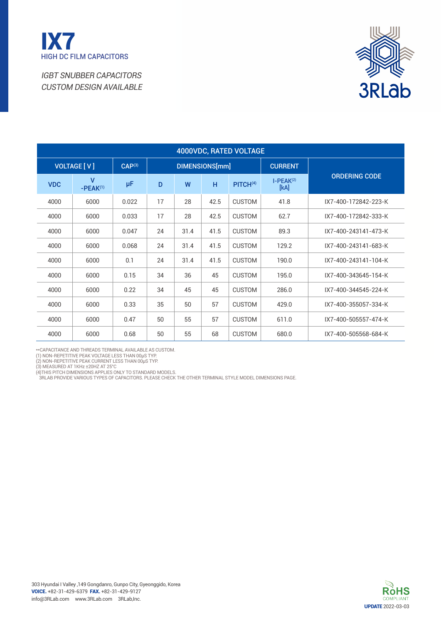



| 4000VDC, RATED VOLTAGE |                            |                    |    |      |                |                      |                     |                      |  |  |  |  |
|------------------------|----------------------------|--------------------|----|------|----------------|----------------------|---------------------|----------------------|--|--|--|--|
|                        | <b>VOLTAGE [V]</b>         | CAP <sup>(3)</sup> |    |      | DIMENSIONS[mm] |                      | <b>CURRENT</b>      |                      |  |  |  |  |
| <b>VDC</b>             | $\mathbf{V}$<br>$-PEAK(1)$ | μF                 | D  | W    | H              | PITCH <sup>(4)</sup> | $I-PEAK(2)$<br>[kA] | <b>ORDERING CODE</b> |  |  |  |  |
| 4000                   | 6000                       | 0.022              | 17 | 28   | 42.5           | <b>CUSTOM</b>        | 41.8                | IX7-400-172842-223-K |  |  |  |  |
| 4000                   | 6000                       | 0.033              | 17 | 28   | 42.5           | <b>CUSTOM</b>        | 62.7                | IX7-400-172842-333-K |  |  |  |  |
| 4000                   | 6000                       | 0.047              | 24 | 31.4 | 41.5           | <b>CUSTOM</b>        | 89.3                | IX7-400-243141-473-K |  |  |  |  |
| 4000                   | 6000                       | 0.068              | 24 | 31.4 | 41.5           | <b>CUSTOM</b>        | 129.2               | IX7-400-243141-683-K |  |  |  |  |
| 4000                   | 6000                       | 0.1                | 24 | 31.4 | 41.5           | <b>CUSTOM</b>        | 190.0               | IX7-400-243141-104-K |  |  |  |  |
| 4000                   | 6000                       | 0.15               | 34 | 36   | 45             | <b>CUSTOM</b>        | 195.0               | IX7-400-343645-154-K |  |  |  |  |
| 4000                   | 6000                       | 0.22               | 34 | 45   | 45             | <b>CUSTOM</b>        | 286.0               | IX7-400-344545-224-K |  |  |  |  |
| 4000                   | 6000                       | 0.33               | 35 | 50   | 57             | <b>CUSTOM</b>        | 429.0               | IX7-400-355057-334-K |  |  |  |  |
| 4000                   | 6000                       | 0.47               | 50 | 55   | 57             | <b>CUSTOM</b>        | 611.0               | IX7-400-505557-474-K |  |  |  |  |
| 4000                   | 6000                       | 0.68               | 50 | 55   | 68             | <b>CUSTOM</b>        | 680.0               | IX7-400-505568-684-K |  |  |  |  |

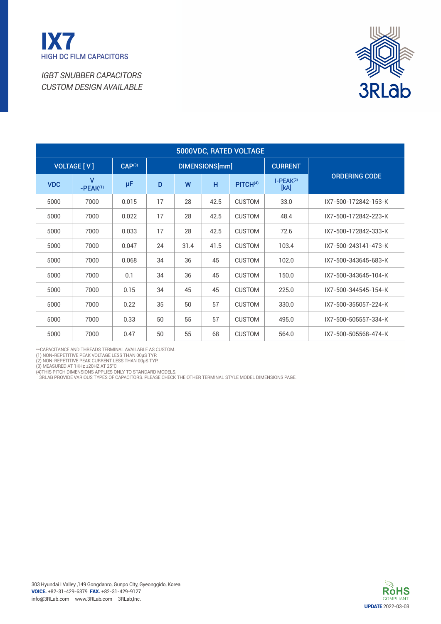



| 5000VDC, RATED VOLTAGE |                            |                    |    |      |                |                      |                     |                      |  |  |  |  |
|------------------------|----------------------------|--------------------|----|------|----------------|----------------------|---------------------|----------------------|--|--|--|--|
|                        | <b>VOLTAGE [V]</b>         | CAP <sup>(3)</sup> |    |      | DIMENSIONS[mm] |                      | <b>CURRENT</b>      |                      |  |  |  |  |
| <b>VDC</b>             | $\mathbf{V}$<br>$-PEAK(1)$ | μF                 | D  | W    | H              | PITCH <sup>(4)</sup> | $I-PEAK(2)$<br>[kA] | <b>ORDERING CODE</b> |  |  |  |  |
| 5000                   | 7000                       | 0.015              | 17 | 28   | 42.5           | <b>CUSTOM</b>        | 33.0                | IX7-500-172842-153-K |  |  |  |  |
| 5000                   | 7000                       | 0.022              | 17 | 28   | 42.5           | <b>CUSTOM</b>        | 48.4                | IX7-500-172842-223-K |  |  |  |  |
| 5000                   | 7000                       | 0.033              | 17 | 28   | 42.5           | <b>CUSTOM</b>        | 72.6                | IX7-500-172842-333-K |  |  |  |  |
| 5000                   | 7000                       | 0.047              | 24 | 31.4 | 41.5           | <b>CUSTOM</b>        | 103.4               | IX7-500-243141-473-K |  |  |  |  |
| 5000                   | 7000                       | 0.068              | 34 | 36   | 45             | <b>CUSTOM</b>        | 102.0               | IX7-500-343645-683-K |  |  |  |  |
| 5000                   | 7000                       | 0.1                | 34 | 36   | 45             | <b>CUSTOM</b>        | 150.0               | IX7-500-343645-104-K |  |  |  |  |
| 5000                   | 7000                       | 0.15               | 34 | 45   | 45             | <b>CUSTOM</b>        | 225.0               | IX7-500-344545-154-K |  |  |  |  |
| 5000                   | 7000                       | 0.22               | 35 | 50   | 57             | <b>CUSTOM</b>        | 330.0               | IX7-500-355057-224-K |  |  |  |  |
| 5000                   | 7000                       | 0.33               | 50 | 55   | 57             | <b>CUSTOM</b>        | 495.0               | IX7-500-505557-334-K |  |  |  |  |
| 5000                   | 7000                       | 0.47               | 50 | 55   | 68             | <b>CUSTOM</b>        | 564.0               | IX7-500-505568-474-K |  |  |  |  |

\*\*CAPACITANCE AND THREADS TERMINAL AVAILABLE AS CUSTOM.<br>(1) NON-REPETITIVE PEAK VOLTAGE LESS THAN 00µS TYP.<br>(2) NON-REPETITIVE PEAK CURRENT LESS THAN 00µS TYP.<br>(3) MEASURED AT 1KHz ±20HZ AT 25°C

(4)This pitch dimensions applies only to standard models. 3RLAB provide various types of capacitors. Please check the [Other terminal style model dimensions](./ix7_dimension.pdf) page.

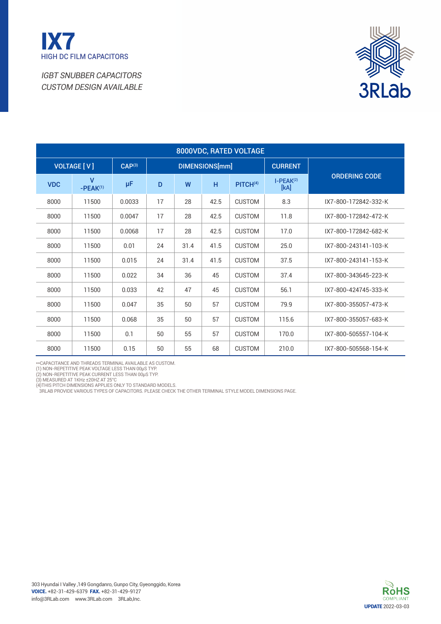



| 8000VDC, RATED VOLTAGE |                            |                    |    |      |                |                      |                     |                      |  |  |  |  |
|------------------------|----------------------------|--------------------|----|------|----------------|----------------------|---------------------|----------------------|--|--|--|--|
|                        | <b>VOLTAGE [V]</b>         | CAP <sup>(3)</sup> |    |      | DIMENSIONS[mm] |                      | <b>CURRENT</b>      |                      |  |  |  |  |
| <b>VDC</b>             | $\mathbf{V}$<br>$-PEAK(1)$ | μF                 | D  | W    | H              | PITCH <sup>(4)</sup> | $I-PEAK(2)$<br>[kA] | <b>ORDERING CODE</b> |  |  |  |  |
| 8000                   | 11500                      | 0.0033             | 17 | 28   | 42.5           | <b>CUSTOM</b>        | 8.3                 | IX7-800-172842-332-K |  |  |  |  |
| 8000                   | 11500                      | 0.0047             | 17 | 28   | 42.5           | <b>CUSTOM</b>        | 11.8                | IX7-800-172842-472-K |  |  |  |  |
| 8000                   | 11500                      | 0.0068             | 17 | 28   | 42.5           | <b>CUSTOM</b>        | 17.0                | IX7-800-172842-682-K |  |  |  |  |
| 8000                   | 11500                      | 0.01               | 24 | 31.4 | 41.5           | <b>CUSTOM</b>        | 25.0                | IX7-800-243141-103-K |  |  |  |  |
| 8000                   | 11500                      | 0.015              | 24 | 31.4 | 41.5           | <b>CUSTOM</b>        | 37.5                | IX7-800-243141-153-K |  |  |  |  |
| 8000                   | 11500                      | 0.022              | 34 | 36   | 45             | <b>CUSTOM</b>        | 37.4                | IX7-800-343645-223-K |  |  |  |  |
| 8000                   | 11500                      | 0.033              | 42 | 47   | 45             | <b>CUSTOM</b>        | 56.1                | IX7-800-424745-333-K |  |  |  |  |
| 8000                   | 11500                      | 0.047              | 35 | 50   | 57             | <b>CUSTOM</b>        | 79.9                | IX7-800-355057-473-K |  |  |  |  |
| 8000                   | 11500                      | 0.068              | 35 | 50   | 57             | <b>CUSTOM</b>        | 115.6               | IX7-800-355057-683-K |  |  |  |  |
| 8000                   | 11500                      | 0.1                | 50 | 55   | 57             | <b>CUSTOM</b>        | 170.0               | IX7-800-505557-104-K |  |  |  |  |
| 8000                   | 11500                      | 0.15               | 50 | 55   | 68             | <b>CUSTOM</b>        | 210.0               | IX7-800-505568-154-K |  |  |  |  |

\*\*Capacitance and threads terminal available as custom. (1) Non-repetitive peak Voltage less than 00µS Typ. (2) Non-repetitive peak Current less than 00µS Typ.

(3) MEASURED AT 1KHz ±20HZ AT 25°C<br>(4)THIS PITCH DIMENSIONS APPLIES ONLY TO STANDARD MODELS.<br> 3RLAB PROVIDE VARIOUS TYPES OF CAPACITORS. PLEASE CHECK THE OTHER TERMINAL STYLE MODEL DIMENSIONS PAGE.